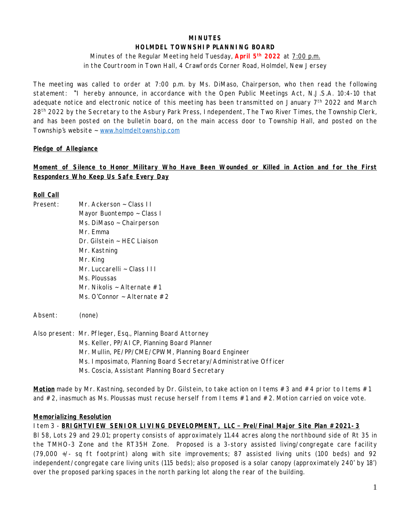# **MINUTES HOLMDEL TOWNSHIP PLANNING BOARD**

Minutes of the Regular Meeting held Tuesday, **April 5 th 2022** at 7:00 p.m. in the Courtroom in Town Hall, 4 Crawfords Corner Road, Holmdel, New Jersey

The meeting was called to order at 7:00 p.m. by Ms. DiMaso, Chairperson, who then read the following statement: "*I hereby announce, in accordance with the Open Public Meetings Act, N.J.S.A. 10:4-10 that* adequate notice and electronic notice of this meeting has been transmitted on January  $7<sup>th</sup>$  2022 and March 28<sup>th</sup> 2022 by the Secretary to the Asbury Park Press, Independent, The Two River Times, the Township Clerk, and has been posted on the bulletin board, on the main access door to Township Hall, and posted on the *Township's website ~ [www.holmdeltownship.com](http://www.holmdeltownship.com)*

# **Pledge of Allegiance**

# **Moment of Silence to Honor Military Who Have Been Wounded or Killed in Action and for the First Responders Who Keep Us Safe Every Day**

### **Roll Call**

| Present: | Mr. Ackerson $\sim$ Class II     |
|----------|----------------------------------|
|          | Mayor Buontempo ~ Class I        |
|          | Ms. DiMaso $\sim$ Chairperson    |
|          | Mr. Emma                         |
|          | $Dr. Gilstein \sim HEC Liaison$  |
|          | Mr. Kastning                     |
|          | Mr. King                         |
|          | Mr. Luccarelli ~ Class III       |
|          | Ms. Ploussas                     |
|          | Mr. Nikolis ~ Alternate #1       |
|          | Ms. O'Connor $\sim$ Alternate #2 |
|          |                                  |
| Absent:  | (none)                           |
|          |                                  |

Also present: Mr. Pfleger, Esq., Planning Board Attorney Ms. Keller, PP/AICP, Planning Board Planner Mr. Mullin, PE/PP/CME/CPWM, Planning Board Engineer Ms. Imposimato, Planning Board Secretary/Administrative Officer Ms. Coscia, Assistant Planning Board Secretary

**Motion** made by Mr. Kastning, seconded by Dr. Gilstein, to take action on I tems #3 and #4 prior to I tems #1 and #2, inasmuch as Ms. Ploussas must recuse herself from Items #1 and #2. Motion carried on voice vote.

### **Memorializing Resolution**

Item 3 - **BRIGHTVIEW SENIOR LIVING DEVELOPMENT, LLC – Prel/Final Major Site Plan #2021-3** Bl 58, Lots 29 and 29.01; property consists of approximately 11.44 acres along the northbound side of Rt 35 in the TMHO-3 Zone and the RT35H Zone. Proposed is a 3-story assisted living/congregate care facility (79,000 +/- sq ft footprint) along with site improvements; 87 assisted living units (100 beds) and 92 independent/congregate care living units (115 beds); also proposed is a solar canopy (approximately 240' by 18') over the proposed parking spaces in the north parking lot along the rear of the building.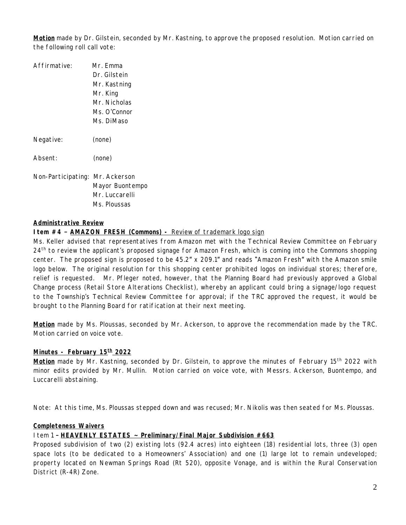**Motion** made by Dr. Gilstein, seconded by Mr. Kastning, to approve the proposed resolution. Motion carried on the following roll call vote:

| Affirmative:                    | Mr. Emma        |
|---------------------------------|-----------------|
|                                 | Dr. Gilstein    |
|                                 | Mr. Kastning    |
|                                 | Mr. King        |
|                                 | Mr. Nicholas    |
|                                 | Ms. O'Connor    |
|                                 | Ms. DiMaso      |
| Negative:                       | (none)          |
| Absent:                         | (none)          |
| Non-Participating: Mr. Ackerson |                 |
|                                 | Mayor Buontempo |
|                                 | Mr. Luccarelli  |
|                                 | Ms. Ploussas    |

### **Administrative Review**

**Item #4 – AMAZON FRESH (Commons) -** Review of trademark logo sign

Ms. Keller advised that representatives from Amazon met with the Technical Review Committee on February 24th to review the applicant's proposed signage for Amazon Fresh, which is coming into the Commons shopping center. The proposed sign is proposed to be 45.2" x 209.1" and reads "Amazon Fresh" with the Amazon smile logo below. The original resolution for this shopping center prohibited logos on individual stores; therefore, relief is requested. Mr. Pfleger noted, however, that the Planning Board had previously approved a Global Change process (Retail Store Alterations Checklist), whereby an applicant could bring a signage/logo request to the Township's Technical Review Committee for approval; if the TRC approved the request, it would be brought to the Planning Board for ratification at their next meeting.

**Motion** made by Ms. Ploussas, seconded by Mr. Ackerson, to approve the recommendation made by the TRC. Motion carried on voice vote.

# **Minutes - February 15th 2022**

**Motion** made by Mr. Kastning, seconded by Dr. Gilstein, to approve the minutes of February 15<sup>th</sup> 2022 with minor edits provided by Mr. Mullin. Motion carried on voice vote, with Messrs. Ackerson, Buontempo, and Luccarelli abstaining.

*Note: At this time, Ms. Ploussas stepped down and was recused; Mr. Nikolis was then seated for Ms. Ploussas.*

#### **Completeness Waivers**

#### Item 1 – **HEAVENLY ESTATES ~ Preliminary/Final Major Subdivision #663**

Proposed subdivision of two (2) existing lots (92.4 acres) into eighteen (18) residential lots, three (3) open space lots (to be dedicated to a Homeowners' Association) and one (1) large lot to remain undeveloped; property located on Newman Springs Road (Rt 520), opposite Vonage, and is within the Rural Conservation District (R-4R) Zone.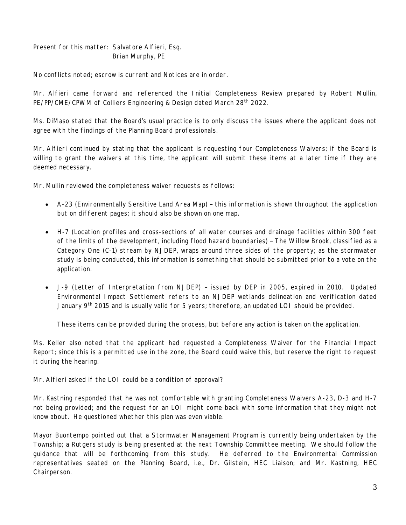Present for this matter: Salvatore Alfieri, Esq. Brian Murphy, PE

No conflicts noted; escrow is current and Notices are in order.

Mr. Alfieri came forward and referenced the Initial Completeness Review prepared by Robert Mullin, PE/PP/CME/CPWM of Colliers Engineering & Design dated March 28<sup>th</sup> 2022.

Ms. DiMaso stated that the Board's usual practice is to only discuss the issues where the applicant does not agree with the findings of the Planning Board professionals.

Mr. Alfieri continued by stating that the applicant is requesting four Completeness Waivers; if the Board is willing to grant the waivers at this time, the applicant will submit these items at a later time if they are deemed necessary.

Mr. Mullin reviewed the completeness waiver requests as follows:

- A-23 (Environmentally Sensitive Land Area Map) this information is shown throughout the application but on different pages; it should also be shown on one map.
- H-7 (Location profiles and cross-sections of all water courses and drainage facilities within 300 feet of the limits of the development, including flood hazard boundaries) – The Willow Brook, classified as a Category One (C-1) stream by NJDEP, wraps around three sides of the property; as the stormwater study is being conducted, this information is something that should be submitted prior to a vote on the application.
- J-9 (Letter of Interpretation from NJDEP) issued by DEP in 2005, expired in 2010. Updated Environmental Impact Settlement refers to an NJDEP wetlands delineation and verification dated January 9<sup>th</sup> 2015 and is usually valid for 5 years; therefore, an updated LOI should be provided.

These items can be provided during the process, but before any action is taken on the application.

Ms. Keller also noted that the applicant had requested a Completeness Waiver for the Financial Impact Report; since this is a permitted use in the zone, the Board could waive this, but reserve the right to request it during the hearing.

Mr. Alfieri asked if the LOI could be a condition of approval?

Mr. Kastning responded that he was not comfortable with granting Completeness Waivers A-23, D-3 and H-7 not being provided; and the request for an LOI might come back with some information that they might not know about. He questioned whether this plan was even viable.

Mayor Buontempo pointed out that a Stormwater Management Program is currently being undertaken by the Township; a Rutgers study is being presented at the next Township Committee meeting. We should follow the guidance that will be forthcoming from this study. He deferred to the Environmental Commission representatives seated on the Planning Board, i.e., Dr. Gilstein, HEC Liaison; and Mr. Kastning, HEC Chairperson.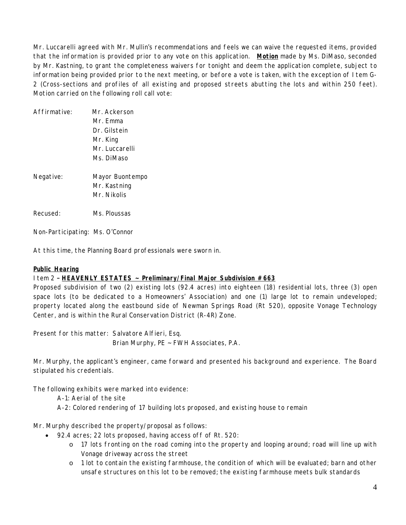Mr. Luccarelli agreed with Mr. Mullin's recommendations and feels we can waive the requested items, provided that the information is provided prior to any vote on this application. **Motion** made by Ms. DiMaso, seconded by Mr. Kastning, to grant the completeness waivers for tonight and deem the application complete, subject to information being provided prior to the next meeting, or before a vote is taken, with the exception of Item G-2 (Cross-sections and profiles of all existing and proposed streets abutting the lots and within 250 feet). Motion carried on the following roll call vote:

| Mr. Ackerson    |  |
|-----------------|--|
| Mr. Emma        |  |
| Dr. Gilstein    |  |
| Mr. King        |  |
| Mr. Luccarelli  |  |
| Ms. DiMaso      |  |
| Mayor Buontempo |  |
| Mr. Kastning    |  |
| Mr. Nikolis     |  |
| Ms. Ploussas    |  |
|                 |  |

Non-Participating: Ms. O'Connor

*At this time, the Planning Board professionals were sworn in.*

#### **Public Hearing**

# Item 2 – **HEAVENLY ESTATES ~ Preliminary/Final Major Subdivision #663**

Proposed subdivision of two (2) existing lots (92.4 acres) into eighteen (18) residential lots, three (3) open space lots (to be dedicated to a Homeowners' Association) and one (1) large lot to remain undeveloped; property located along the eastbound side of Newman Springs Road (Rt 520), opposite Vonage Technology Center, and is within the Rural Conservation District (R-4R) Zone.

Present for this matter: Salvatore Alfieri, Esq. Brian Murphy, PE ~ FWH Associates, P.A.

Mr. Murphy, the applicant's engineer, came forward and presented his background and experience. The Board stipulated his credentials.

The following exhibits were marked into evidence:

- A-1: Aerial of the site
- A-2: Colored rendering of 17 building lots proposed, and existing house to remain

Mr. Murphy described the property/proposal as follows:

- 92.4 acres; 22 lots proposed, having access off of Rt. 520:
	- o 17 lots fronting on the road coming into the property and looping around; road will line up with Vonage driveway across the street
	- o 1 lot to contain the existing farmhouse, the condition of which will be evaluated; barn and other unsafe structures on this lot to be removed; the existing farmhouse meets bulk standards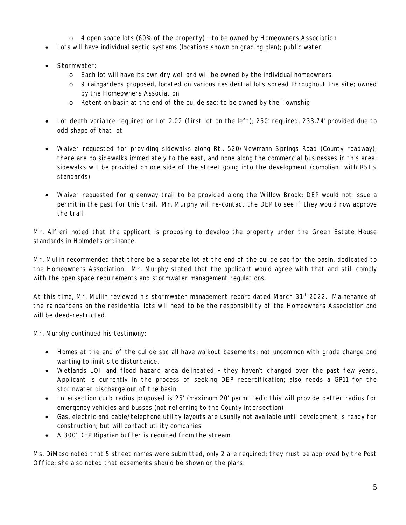- $\circ$  4 open space lots (60% of the property) to be owned by Homeowners Association
- Lots will have individual septic systems (locations shown on grading plan); public water
- Stormwater:
	- o Each lot will have its own dry well and will be owned by the individual homeowners
	- o 9 raingardens proposed, located on various residential lots spread throughout the site; owned by the Homeowners Association
	- o Retention basin at the end of the cul de sac; to be owned by the Township
- Lot depth variance required on Lot 2.02 (first lot on the left); 250' required, 233.74' provided due to odd shape of that lot
- Waiver requested for providing sidewalks along Rt.. 520/Newmann Springs Road (County roadway); there are no sidewalks immediately to the east, and none along the commercial businesses in this area; sidewalks will be provided on one side of the street going into the development (compliant with RSIS standards)
- Waiver requested for greenway trail to be provided along the Willow Brook; DEP would not issue a permit in the past for this trail. Mr. Murphy will re-contact the DEP to see if they would now approve the trail.

Mr. Alfieri noted that the applicant is proposing to develop the property under the Green Estate House standards in Holmdel's ordinance.

Mr. Mullin recommended that there be a separate lot at the end of the cul de sac for the basin, dedicated to the Homeowners Association. Mr. Murphy stated that the applicant would agree with that and still comply with the open space requirements and stormwater management regulations.

At this time, Mr. Mullin reviewed his stormwater management report dated March 31<sup>st</sup> 2022. Mainenance of the raingardens on the residential lots will need to be the responsibility of the Homeowners Association and will be deed-restricted.

Mr. Murphy continued his testimony:

- Homes at the end of the cul de sac all have walkout basements; not uncommon with grade change and wanting to limit site disturbance.
- Wetlands LOI and flood hazard area delineated they haven't changed over the past few years. Applicant is currently in the process of seeking DEP recertification; also needs a GP11 for the stormwater discharge out of the basin
- Intersection curb radius proposed is 25' (maximum 20' permitted); this will provide better radius for emergency vehicles and busses (not referring to the County intersection)
- Gas, electric and cable/telephone utility layouts are usually not available until development is ready for construction; but will contact utility companies
- A 300' DEP Riparian buffer is required from the stream

Ms. DiMaso noted that 5 street names were submitted, only 2 are required; they must be approved by the Post Office; she also noted that easements should be shown on the plans.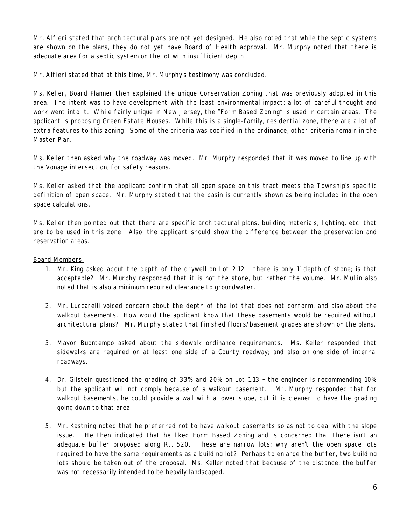Mr. Alfieri stated that architectural plans are not yet designed. He also noted that while the septic systems are shown on the plans, they do not yet have Board of Health approval. Mr. Murphy noted that there is adequate area for a septic system on the lot with insufficient depth.

Mr. Alfieri stated that at this time, Mr. Murphy's testimony was concluded.

Ms. Keller, Board Planner then explained the unique Conservation Zoning that was previously adopted in this area. The intent was to have development with the least environmental impact; a lot of careful thought and work went into it. While fairly unique in New Jersey, the "Form Based Zoning" is used in certain areas. The applicant is proposing Green Estate Houses. While this is a single-family, residential zone, there are a lot of extra features to this zoning. Some of the criteria was codified in the ordinance, other criteria remain in the Master Plan.

Ms. Keller then asked why the roadway was moved. Mr. Murphy responded that it was moved to line up with the Vonage intersection, for safety reasons.

Ms. Keller asked that the applicant confirm that all open space on this tract meets the Township's specific definition of open space. Mr. Murphy stated that the basin is currently shown as being included in the open space calculations.

Ms. Keller then pointed out that there are specific architectural plans, building materials, lighting, etc. that are to be used in this zone. Also, the applicant should show the difference between the preservation and reservation areas.

# Board Members:

- 1. Mr. King asked about the depth of the drywell on Lot 2.12 there is only 1' depth of stone; is that acceptable? Mr. Murphy responded that it is not the stone, but rather the volume. Mr. Mullin also noted that is also a minimum required clearance to groundwater.
- 2. Mr. Luccarelli voiced concern about the depth of the lot that does not conform, and also about the walkout basements. How would the applicant know that these basements would be required without architectural plans? Mr. Murphy stated that finished floors/basement grades are shown on the plans.
- 3. Mayor Buontempo asked about the sidewalk ordinance requirements. Ms. Keller responded that sidewalks are required on at least one side of a County roadway; and also on one side of internal roadways.
- 4. Dr. Gilstein questioned the grading of 33% and 20% on Lot 1.13 the engineer is recommending 10% but the applicant will not comply because of a walkout basement. Mr. Murphy responded that for walkout basements, he could provide a wall with a lower slope, but it is cleaner to have the grading going down to that area.
- 5. Mr. Kastning noted that he preferred not to have walkout basements so as not to deal with the slope issue. He then indicated that he liked Form Based Zoning and is concerned that there isn't an adequate buffer proposed along Rt. 520. These are narrow lots; why aren't the open space lots required to have the same requirements as a building lot? Perhaps to enlarge the buffer, two building lots should be taken out of the proposal. Ms. Keller noted that because of the distance, the buffer was not necessarily intended to be heavily landscaped.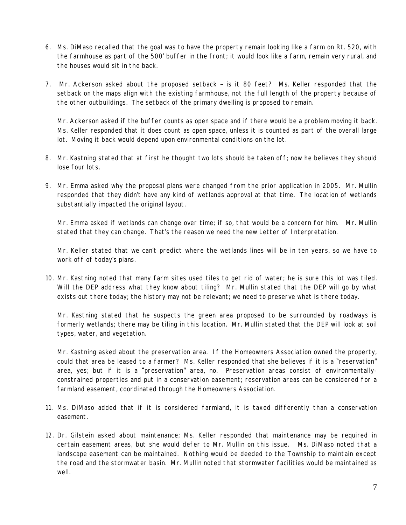- 6. Ms. DiMaso recalled that the goal was to have the property remain looking like a farm on Rt. 520, with the farmhouse as part of the 500' buffer in the front; it would look like a farm, remain very rural, and the houses would sit in the back.
- 7. Mr. Ackerson asked about the proposed setback is it 80 feet? Ms. Keller responded that the setback on the maps align with the existing farmhouse, not the full length of the property because of the other outbuildings. The setback of the primary dwelling is proposed to remain.

Mr. Ackerson asked if the buffer counts as open space and if there would be a problem moving it back. Ms. Keller responded that it does count as open space, unless it is counted as part of the overall large lot. Moving it back would depend upon environmental conditions on the lot.

- 8. Mr. Kastning stated that at first he thought two lots should be taken off; now he believes they should lose four lots.
- 9. Mr. Emma asked why the proposal plans were changed from the prior application in 2005. Mr. Mullin responded that they didn't have any kind of wetlands approval at that time. The location of wetlands substantially impacted the original layout.

Mr. Emma asked if wetlands can change over time; if so, that would be a concern for him. Mr. Mullin stated that they can change. That's the reason we need the new Letter of Interpretation.

Mr. Keller stated that we can't predict where the wetlands lines will be in ten years, so we have to work off of today's plans.

10. Mr. Kastning noted that many farm sites used tiles to get rid of water; he is sure this lot was tiled. Will the DEP address what they know about tiling? Mr. Mullin stated that the DEP will go by what exists out there today; the history may not be relevant; we need to preserve what is there today.

Mr. Kastning stated that he suspects the green area proposed to be surrounded by roadways is formerly wetlands; there may be tiling in this location. Mr. Mullin stated that the DEP will look at soil types, water, and vegetation.

Mr. Kastning asked about the preservation area. If the Homeowners Association owned the property, could that area be leased to a farmer? Ms. Keller responded that she believes if it is a "reservation" area, yes; but if it is a "preservation" area, no. Preservation areas consist of environmentallyconstrained properties and put in a conservation easement; reservation areas can be considered for a farmland easement, coordinated through the Homeowners Association.

- 11. Ms. DiMaso added that if it is considered farmland, it is taxed differently than a conservation easement.
- 12. Dr. Gilstein asked about maintenance; Ms. Keller responded that maintenance may be required in certain easement areas, but she would defer to Mr. Mullin on this issue. Ms. DiMaso noted that a landscape easement can be maintained. Nothing would be deeded to the Township to maintain except the road and the stormwater basin. Mr. Mullin noted that stormwater facilities would be maintained as well.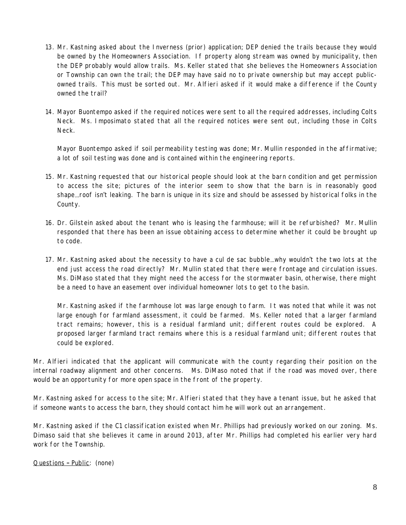- 13. Mr. Kastning asked about the Inverness (prior) application; DEP denied the trails because they would be owned by the Homeowners Association. If property along stream was owned by municipality, then the DEP probably would allow trails. Ms. Keller stated that she believes the Homeowners Association or Township can own the trail; the DEP may have said no to private ownership but may accept publicowned trails. This must be sorted out. Mr. Alfieri asked if it would make a difference if the County owned the trail?
- 14. Mayor Buontempo asked if the required notices were sent to all the required addresses, including Colts Neck. Ms. Imposimato stated that all the required notices were sent out, including those in Colts Neck.

Mayor Buontempo asked if soil permeability testing was done; Mr. Mullin responded in the affirmative; a lot of soil testing was done and is contained within the engineering reports.

- 15. Mr. Kastning requested that our historical people should look at the barn condition and get permission to access the site; pictures of the interior seem to show that the barn is in reasonably good shape…roof isn't leaking. The barn is unique in its size and should be assessed by historical folks in the County.
- 16. Dr. Gilstein asked about the tenant who is leasing the farmhouse; will it be refurbished? Mr. Mullin responded that there has been an issue obtaining access to determine whether it could be brought up to code.
- 17. Mr. Kastning asked about the necessity to have a cul de sac bubble…why wouldn't the two lots at the end just access the road directly? Mr. Mullin stated that there were frontage and circulation issues. Ms. DiMaso stated that they might need the access for the stormwater basin, otherwise, there might be a need to have an easement over individual homeowner lots to get to the basin.

Mr. Kastning asked if the farmhouse lot was large enough to farm. It was noted that while it was not large enough for farmland assessment, it could be farmed. Ms. Keller noted that a larger farmland tract remains; however, this is a residual farmland unit; different routes could be explored. A proposed larger farmland tract remains where this is a residual farmland unit; different routes that could be explored.

Mr. Alfieri indicated that the applicant will communicate with the county regarding their position on the internal roadway alignment and other concerns. Ms. DiMaso noted that if the road was moved over, there would be an opportunity for more open space in the front of the property.

Mr. Kastning asked for access to the site; Mr. Alfieri stated that they have a tenant issue, but he asked that if someone wants to access the barn, they should contact him he will work out an arrangement.

Mr. Kastning asked if the C1 classification existed when Mr. Phillips had previously worked on our zoning. Ms. Dimaso said that she believes it came in around 2013, after Mr. Phillips had completed his earlier very hard work for the Township.

Questions – Public: (none)